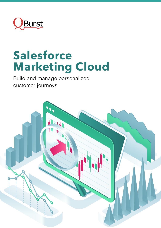

## **Salesforce Marketing Cloud**

Build and manage personalized customer journeys

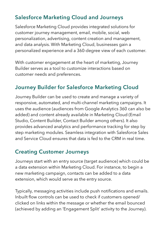## **Salesforce Marketing Cloud and Journeys**

Salesforce Marketing Cloud provides integrated solutions for customer journey management, email, mobile, social, web personalization, advertising, content creation and management, and data analysis. With Marketing Cloud, businesses gain a personalized experience and a 360-degree view of each customer.

With customer engagement at the heart of marketing, Journey Builder serves as a tool to customize interactions based on customer needs and preferences.

## **Journey Builder for Salesforce Marketing Cloud**

Journey Builder can be used to create and manage a variety of responsive, automated, and multi-channel marketing campaigns. It uses the audience (audiences from Google Analytics 360 can also be added) and content already available in Marketing Cloud (Email Studio, Content Builder, Contact Builder among others). It also provides advanced analytics and performance tracking for step by step marketing modules. Seamless integration with Salesforce Sales and Service Cloud ensures that data is fed to the CRM in real time.

## **Creating Customer Journeys**

Journeys start with an entry source (target audience) which could be a data extension within Marketing Cloud. For instance, to begin a new marketing campaign, contacts can be added to a data extension, which would serve as the entry source.

Typically, messaging activities include push notifications and emails. Inbuilt flow controls can be used to check if customers opened/ clicked on links within the message or whether the email bounced (achieved by adding an 'Engagement Split' activity to the Journey).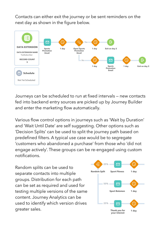Contacts can either exit the journey or be sent reminders on the next day as shown in the figure below.



Journeys can be scheduled to run at fixed intervals — new contacts fed into backend entry sources are picked up by Journey Builder and enter the marketing flow automatically.

Various flow control options in journeys such as 'Wait by Duration' and 'Wait Until Date' are self suggesting. Other options such as 'Decision Splits' can be used to split the journey path based on predefined filters. A typical use case would be to segregate 'customers who abandoned a purchase' from those who 'did not engage actively'. These groups can be re-engaged using custom notifications.

Random splits can be used to separate contacts in the multiple contacts in the multiple contacts in the multiple separate contacts into multiple groups. Distribution for each path and same content. Journal of the same content. Analytics of the same content can be set as required and used for **the sales.** The sales of  $\blacksquare$ content. Journey Analytics can be defined by content. Journey Analytics can be used to identify which version drives  $\Box$  25%  $\Box$   $\Box$   $\Box$   $\Box$ greater sales. The can act as existence of the contract of the contract of the contract of the contract of the contract of the contract of the contract of the contract of the contract of the contract of the contract of the testing multiple versions of the same